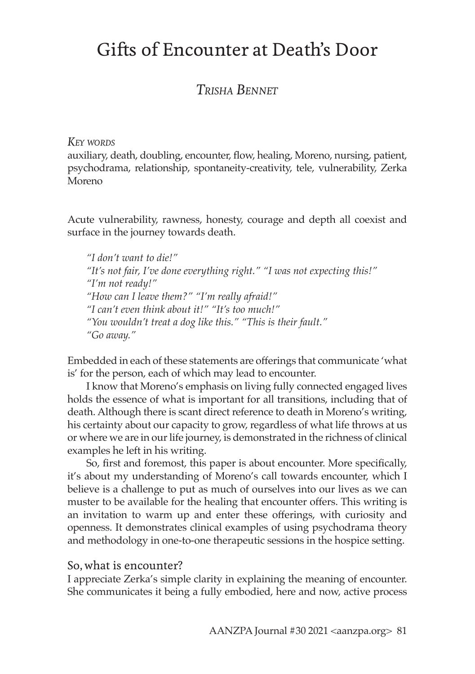# Gifts of Encounter at Death's Door

## *Trisha Bennet*

#### *Key words*

auxiliary, death, doubling, encounter, flow, healing, Moreno, nursing, patient, psychodrama, relationship, spontaneity-creativity, tele, vulnerability, Zerka Moreno

Acute vulnerability, rawness, honesty, courage and depth all coexist and surface in the journey towards death.

*"I don't want to die!" "It's not fair, I've done everything right." "I was not expecting this!" "I'm not ready!" "How can I leave them?" "I'm really afraid!" "I can't even think about it!" "It's too much!" "You wouldn't treat a dog like this." "This is their fault." "Go away."*

Embedded in each of these statements are offerings that communicate 'what is' for the person, each of which may lead to encounter.

I know that Moreno's emphasis on living fully connected engaged lives holds the essence of what is important for all transitions, including that of death. Although there is scant direct reference to death in Moreno's writing, his certainty about our capacity to grow, regardless of what life throws at us or where we are in our life journey, is demonstrated in the richness of clinical examples he left in his writing.

So, first and foremost, this paper is about encounter. More specifically, it's about my understanding of Moreno's call towards encounter, which I believe is a challenge to put as much of ourselves into our lives as we can muster to be available for the healing that encounter offers. This writing is an invitation to warm up and enter these offerings, with curiosity and openness. It demonstrates clinical examples of using psychodrama theory and methodology in one-to-one therapeutic sessions in the hospice setting.

#### So, what is encounter?

I appreciate Zerka's simple clarity in explaining the meaning of encounter. She communicates it being a fully embodied, here and now, active process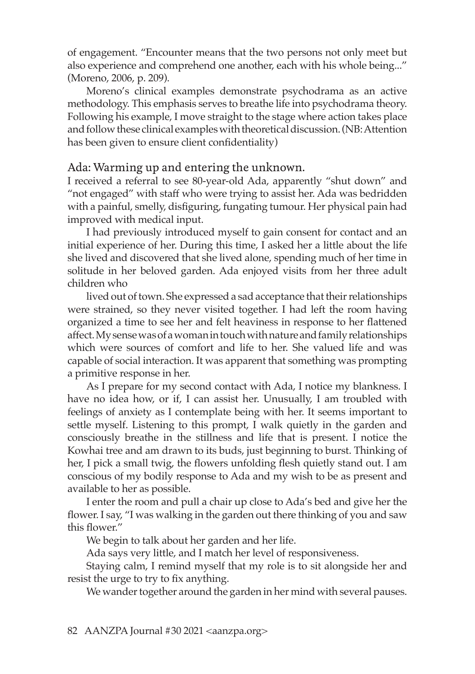of engagement. "Encounter means that the two persons not only meet but also experience and comprehend one another, each with his whole being..." (Moreno, 2006, p. 209).

Moreno's clinical examples demonstrate psychodrama as an active methodology. This emphasis serves to breathe life into psychodrama theory. Following his example, I move straight to the stage where action takes place and follow these clinical examples with theoretical discussion. (NB: Attention has been given to ensure client confidentiality)

#### Ada: Warming up and entering the unknown.

I received a referral to see 80-year-old Ada, apparently "shut down" and "not engaged" with staff who were trying to assist her. Ada was bedridden with a painful, smelly, disfiguring, fungating tumour. Her physical pain had improved with medical input.

I had previously introduced myself to gain consent for contact and an initial experience of her. During this time, I asked her a little about the life she lived and discovered that she lived alone, spending much of her time in solitude in her beloved garden. Ada enjoyed visits from her three adult children who

lived out of town. She expressed a sad acceptance that their relationships were strained, so they never visited together. I had left the room having organized a time to see her and felt heaviness in response to her flattened affect. My sense was of a woman in touch with nature and family relationships which were sources of comfort and life to her. She valued life and was capable of social interaction. It was apparent that something was prompting a primitive response in her.

As I prepare for my second contact with Ada, I notice my blankness. I have no idea how, or if, I can assist her. Unusually, I am troubled with feelings of anxiety as I contemplate being with her. It seems important to settle myself. Listening to this prompt, I walk quietly in the garden and consciously breathe in the stillness and life that is present. I notice the Kowhai tree and am drawn to its buds, just beginning to burst. Thinking of her, I pick a small twig, the flowers unfolding flesh quietly stand out. I am conscious of my bodily response to Ada and my wish to be as present and available to her as possible.

I enter the room and pull a chair up close to Ada's bed and give her the flower. I say, "I was walking in the garden out there thinking of you and saw this flower."

We begin to talk about her garden and her life.

Ada says very little, and I match her level of responsiveness.

Staying calm, I remind myself that my role is to sit alongside her and resist the urge to try to fix anything.

We wander together around the garden in her mind with several pauses.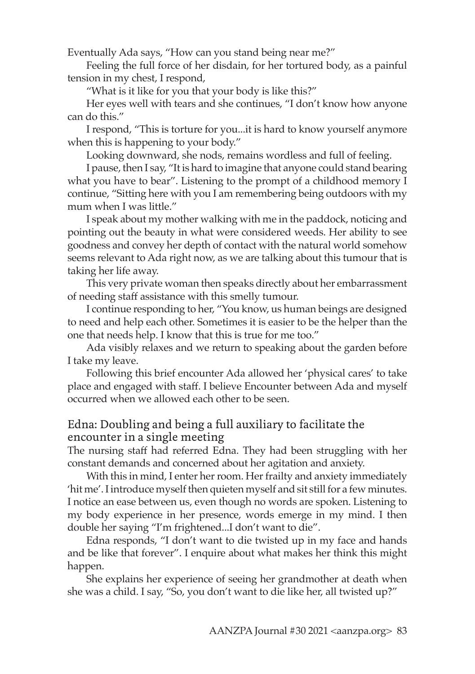Eventually Ada says, "How can you stand being near me?"

Feeling the full force of her disdain, for her tortured body, as a painful tension in my chest, I respond,

"What is it like for you that your body is like this?"

Her eyes well with tears and she continues, "I don't know how anyone can do this."

I respond, "This is torture for you...it is hard to know yourself anymore when this is happening to your body."

Looking downward, she nods, remains wordless and full of feeling.

I pause, then I say, "It is hard to imagine that anyone could stand bearing what you have to bear". Listening to the prompt of a childhood memory I continue, "Sitting here with you I am remembering being outdoors with my mum when I was little."

I speak about my mother walking with me in the paddock, noticing and pointing out the beauty in what were considered weeds. Her ability to see goodness and convey her depth of contact with the natural world somehow seems relevant to Ada right now, as we are talking about this tumour that is taking her life away.

This very private woman then speaks directly about her embarrassment of needing staff assistance with this smelly tumour.

I continue responding to her, "You know, us human beings are designed to need and help each other. Sometimes it is easier to be the helper than the one that needs help. I know that this is true for me too."

Ada visibly relaxes and we return to speaking about the garden before I take my leave.

Following this brief encounter Ada allowed her 'physical cares' to take place and engaged with staff. I believe Encounter between Ada and myself occurred when we allowed each other to be seen.

### Edna: Doubling and being a full auxiliary to facilitate the encounter in a single meeting

The nursing staff had referred Edna. They had been struggling with her constant demands and concerned about her agitation and anxiety.

With this in mind, I enter her room. Her frailty and anxiety immediately 'hit me'. I introduce myself then quieten myself and sit still for a few minutes. I notice an ease between us, even though no words are spoken. Listening to my body experience in her presence, words emerge in my mind. I then double her saying "I'm frightened...I don't want to die".

Edna responds, "I don't want to die twisted up in my face and hands and be like that forever". I enquire about what makes her think this might happen.

She explains her experience of seeing her grandmother at death when she was a child. I say, "So, you don't want to die like her, all twisted up?"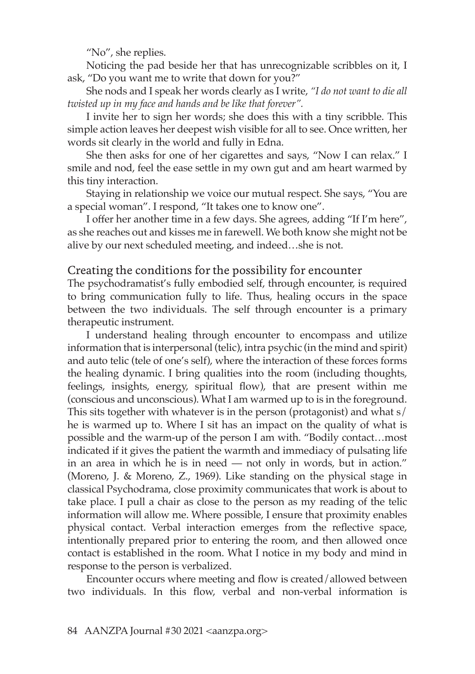"No", she replies.

Noticing the pad beside her that has unrecognizable scribbles on it, I ask, "Do you want me to write that down for you?"

She nods and I speak her words clearly as I write, *"I do not want to die all twisted up in my face and hands and be like that forever".*

I invite her to sign her words; she does this with a tiny scribble. This simple action leaves her deepest wish visible for all to see. Once written, her words sit clearly in the world and fully in Edna.

She then asks for one of her cigarettes and says, "Now I can relax." I smile and nod, feel the ease settle in my own gut and am heart warmed by this tiny interaction.

Staying in relationship we voice our mutual respect. She says, "You are a special woman". I respond, "It takes one to know one".

I offer her another time in a few days. She agrees, adding "If I'm here", as she reaches out and kisses me in farewell. We both know she might not be alive by our next scheduled meeting, and indeed…she is not.

#### Creating the conditions for the possibility for encounter

The psychodramatist's fully embodied self, through encounter, is required to bring communication fully to life. Thus, healing occurs in the space between the two individuals. The self through encounter is a primary therapeutic instrument.

I understand healing through encounter to encompass and utilize information that is interpersonal (telic), intra psychic (in the mind and spirit) and auto telic (tele of one's self), where the interaction of these forces forms the healing dynamic. I bring qualities into the room (including thoughts, feelings, insights, energy, spiritual flow), that are present within me (conscious and unconscious). What I am warmed up to is in the foreground. This sits together with whatever is in the person (protagonist) and what s/ he is warmed up to. Where I sit has an impact on the quality of what is possible and the warm-up of the person I am with. "Bodily contact…most indicated if it gives the patient the warmth and immediacy of pulsating life in an area in which he is in need — not only in words, but in action." (Moreno, J. & Moreno, Z., 1969). Like standing on the physical stage in classical Psychodrama, close proximity communicates that work is about to take place. I pull a chair as close to the person as my reading of the telic information will allow me. Where possible, I ensure that proximity enables physical contact. Verbal interaction emerges from the reflective space, intentionally prepared prior to entering the room, and then allowed once contact is established in the room. What I notice in my body and mind in response to the person is verbalized.

Encounter occurs where meeting and flow is created/allowed between two individuals. In this flow, verbal and non-verbal information is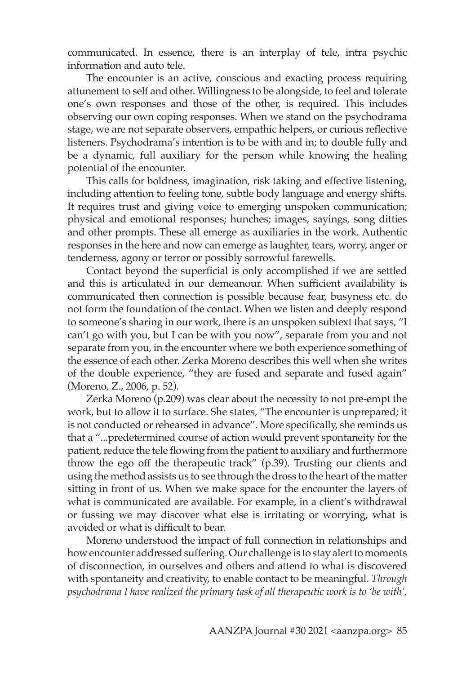communicated. In essence, there is an interplay of tele, intra psychic information and auto tele.

The encounter is an active, conscious and exacting process requiring attunement to self and other. Willingness to be alongside, to feel and tolerate one's own responses and those of the other, is required. This includes observing our own coping responses. When we stand on the psychodrama stage, we are not separate observers, empathic helpers, or curious reflective listeners. Psychodrama's intention is to be with and in; to double fully and be a dynamic, full auxiliary for the person while knowing the healing potential of the encounter.

This calls for boldness, imagination, risk taking and effective listening, including attention to feeling tone, subtle body language and energy shifts. It requires trust and giving voice to emerging unspoken communication; physical and emotional responses; hunches; images, sayings, song ditties and other prompts. These all emerge as auxiliaries in the work. Authentic responses in the here and now can emerge as laughter, tears, worry, anger or tenderness, agony or terror or possibly sorrowful farewells.

Contact beyond the superficial is only accomplished if we are settled and this is articulated in our demeanour. When sufficient availability is communicated then connection is possible because fear, busyness etc. do not form the foundation of the contact. When we listen and deeply respond to someone's sharing in our work, there is an unspoken subtext that says, "I can't go with you, but I can be with you now", separate from you and not separate from you, in the encounter where we both experience something of the essence of each other. Zerka Moreno describes this well when she writes of the double experience, "they are fused and separate and fused again" (Moreno, Z., 2006, p. 52).

Zerka Moreno (p.209) was clear about the necessity to not pre-empt the work, but to allow it to surface. She states, "The encounter is unprepared; it is not conducted or rehearsed in advance". More specifically, she reminds us that a "...predetermined course of action would prevent spontaneity for the patient, reduce the tele flowing from the patient to auxiliary and furthermore throw the ego off the therapeutic track" (p.39). Trusting our clients and using the method assists us to see through the dross to the heart of the matter sitting in front of us. When we make space for the encounter the layers of what is communicated are available. For example, in a client's withdrawal or fussing we may discover what else is irritating or worrying, what is avoided or what is difficult to bear.

Moreno understood the impact of full connection in relationships and how encounter addressed suffering. Our challenge is to stay alert to moments of disconnection, in ourselves and others and attend to what is discovered with spontaneity and creativity, to enable contact to be meaningful. *Through psychodrama I have realized the primary task of all therapeutic work is to 'be with',*